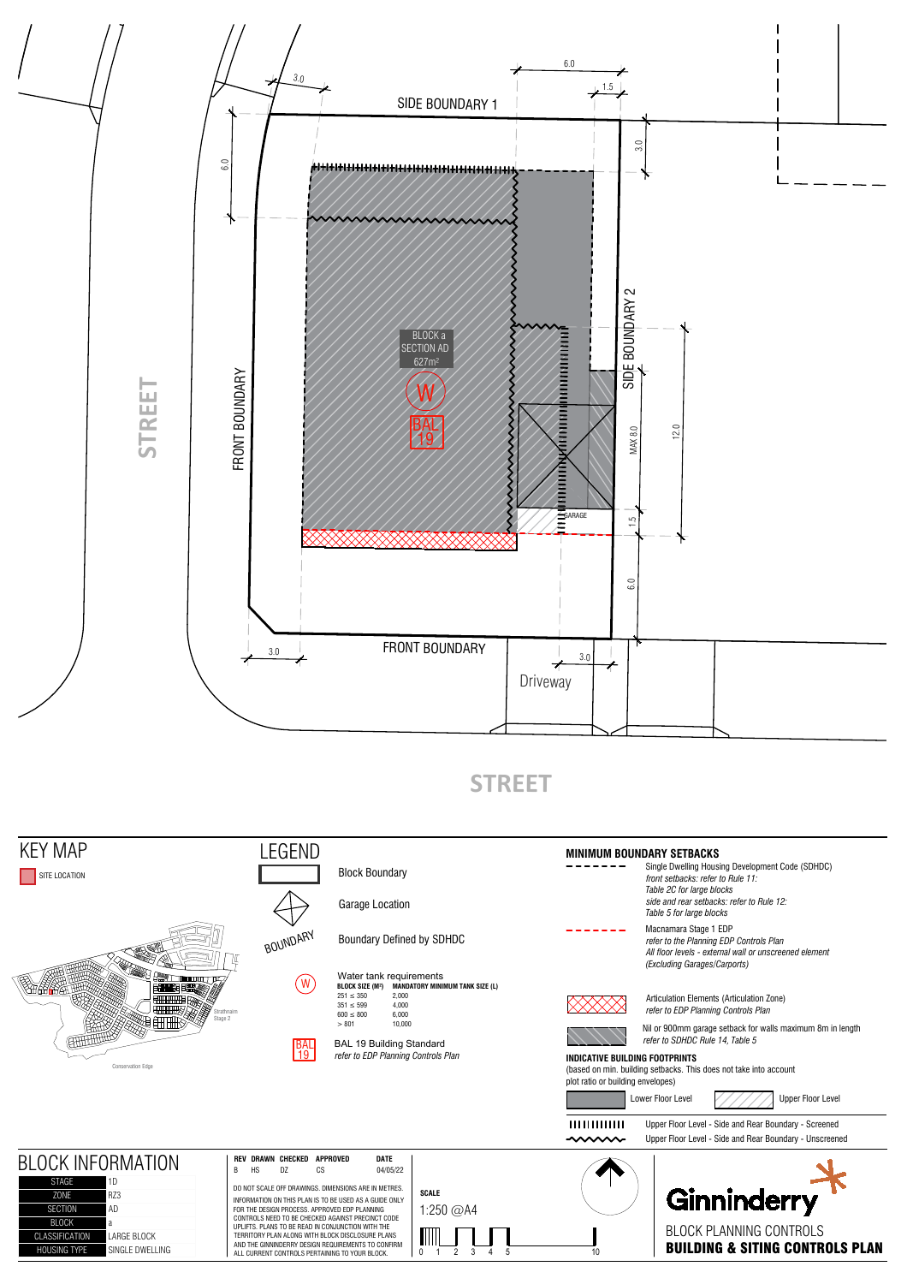

**STREET**